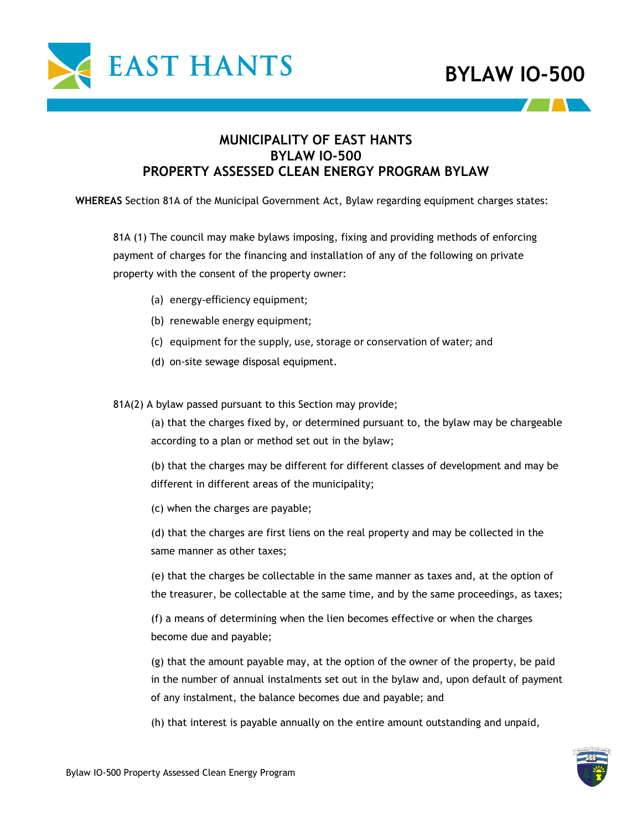

### **MUNICIPALITY OF EAST HANTS BYLAW IO-500 PROPERTY ASSESSED CLEAN ENERGY PROGRAM BYLAW**

**WHEREAS** Section 81A of the Municipal Government Act, Bylaw regarding equipment charges states:

81A (1) The council may make bylaws imposing, fixing and providing methods of enforcing payment of charges for the financing and installation of any of the following on private property with the consent of the property owner:

- (a) energy-efficiency equipment;
- (b) renewable energy equipment;
- (c) equipment for the supply, use, storage or conservation of water; and
- (d) on-site sewage disposal equipment.

81A(2) A bylaw passed pursuant to this Section may provide;

(a) that the charges fixed by, or determined pursuant to, the bylaw may be chargeable according to a plan or method set out in the bylaw;

(b) that the charges may be different for different classes of development and may be different in different areas of the municipality;

(c) when the charges are payable;

(d) that the charges are first liens on the real property and may be collected in the same manner as other taxes;

(e) that the charges be collectable in the same manner as taxes and, at the option of the treasurer, be collectable at the same time, and by the same proceedings, as taxes;

(f) a means of determining when the lien becomes effective or when the charges become due and payable;

(g) that the amount payable may, at the option of the owner of the property, be paid in the number of annual instalments set out in the bylaw and, upon default of payment of any instalment, the balance becomes due and payable; and

(h) that interest is payable annually on the entire amount outstanding and unpaid,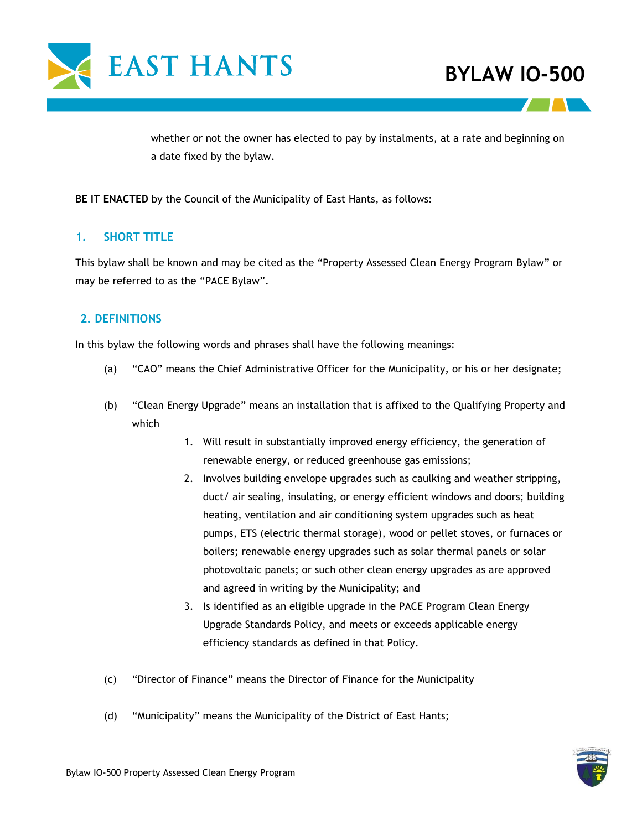

whether or not the owner has elected to pay by instalments, at a rate and beginning on a date fixed by the bylaw.

**BE IT ENACTED** by the Council of the Municipality of East Hants, as follows:

### **1. SHORT TITLE**

This bylaw shall be known and may be cited as the "Property Assessed Clean Energy Program Bylaw" or may be referred to as the "PACE Bylaw".

### **2. DEFINITIONS**

In this bylaw the following words and phrases shall have the following meanings:

- (a) "CAO" means the Chief Administrative Officer for the Municipality, or his or her designate;
- (b) "Clean Energy Upgrade" means an installation that is affixed to the Qualifying Property and which
	- 1. Will result in substantially improved energy efficiency, the generation of renewable energy, or reduced greenhouse gas emissions;
	- 2. Involves building envelope upgrades such as caulking and weather stripping, duct/ air sealing, insulating, or energy efficient windows and doors; building heating, ventilation and air conditioning system upgrades such as heat pumps, ETS (electric thermal storage), wood or pellet stoves, or furnaces or boilers; renewable energy upgrades such as solar thermal panels or solar photovoltaic panels; or such other clean energy upgrades as are approved and agreed in writing by the Municipality; and
	- 3. Is identified as an eligible upgrade in the PACE Program Clean Energy Upgrade Standards Policy, and meets or exceeds applicable energy efficiency standards as defined in that Policy.
- (c) "Director of Finance" means the Director of Finance for the Municipality
- (d) "Municipality" means the Municipality of the District of East Hants;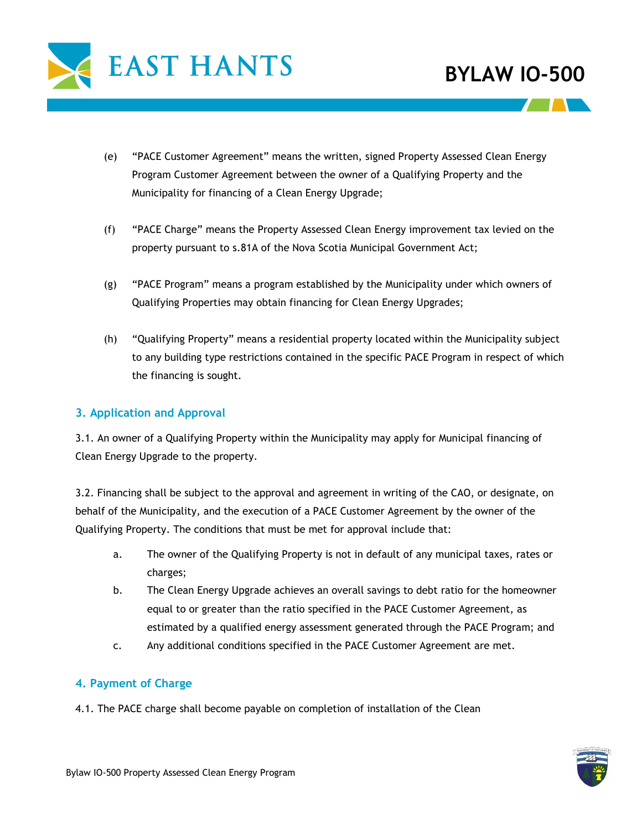

- (e) "PACE Customer Agreement" means the written, signed Property Assessed Clean Energy Program Customer Agreement between the owner of a Qualifying Property and the Municipality for financing of a Clean Energy Upgrade;
- (f) "PACE Charge" means the Property Assessed Clean Energy improvement tax levied on the property pursuant to s.81A of the Nova Scotia Municipal Government Act;
- (g) "PACE Program" means a program established by the Municipality under which owners of Qualifying Properties may obtain financing for Clean Energy Upgrades;
- (h) "Qualifying Property" means a residential property located within the Municipality subject to any building type restrictions contained in the specific PACE Program in respect of which the financing is sought.

### **3. Application and Approval**

3.1. An owner of a Qualifying Property within the Municipality may apply for Municipal financing of Clean Energy Upgrade to the property.

3.2. Financing shall be subject to the approval and agreement in writing of the CAO, or designate, on behalf of the Municipality, and the execution of a PACE Customer Agreement by the owner of the Qualifying Property. The conditions that must be met for approval include that:

- a. The owner of the Qualifying Property is not in default of any municipal taxes, rates or charges;
- b. The Clean Energy Upgrade achieves an overall savings to debt ratio for the homeowner equal to or greater than the ratio specified in the PACE Customer Agreement, as estimated by a qualified energy assessment generated through the PACE Program; and
- c. Any additional conditions specified in the PACE Customer Agreement are met.

#### **4. Payment of Charge**

4.1. The PACE charge shall become payable on completion of installation of the Clean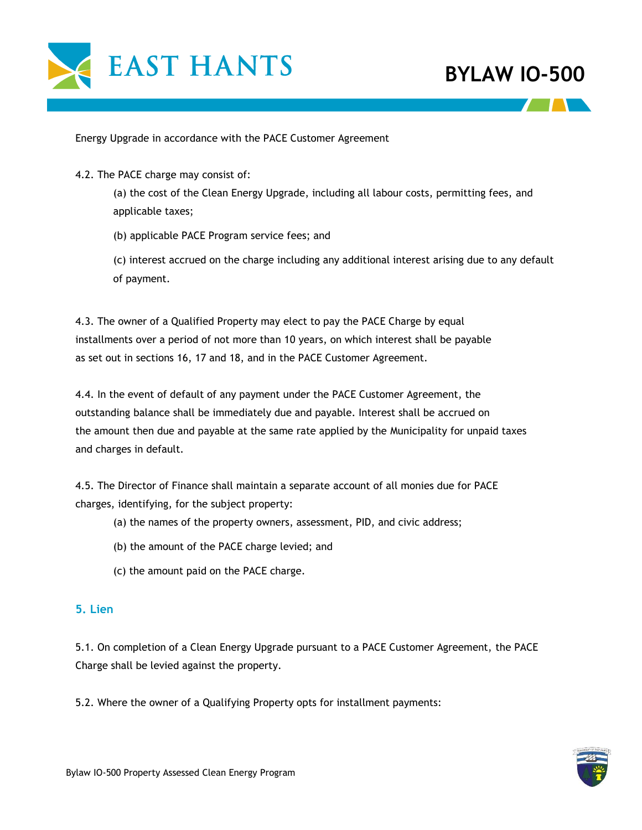

Energy Upgrade in accordance with the PACE Customer Agreement

4.2. The PACE charge may consist of:

(a) the cost of the Clean Energy Upgrade, including all labour costs, permitting fees, and applicable taxes;

(b) applicable PACE Program service fees; and

(c) interest accrued on the charge including any additional interest arising due to any default of payment.

4.3. The owner of a Qualified Property may elect to pay the PACE Charge by equal installments over a period of not more than 10 years, on which interest shall be payable as set out in sections 16, 17 and 18, and in the PACE Customer Agreement.

4.4. In the event of default of any payment under the PACE Customer Agreement, the outstanding balance shall be immediately due and payable. Interest shall be accrued on the amount then due and payable at the same rate applied by the Municipality for unpaid taxes and charges in default.

4.5. The Director of Finance shall maintain a separate account of all monies due for PACE charges, identifying, for the subject property:

- (a) the names of the property owners, assessment, PID, and civic address;
- (b) the amount of the PACE charge levied; and
- (c) the amount paid on the PACE charge.

#### **5. Lien**

5.1. On completion of a Clean Energy Upgrade pursuant to a PACE Customer Agreement, the PACE Charge shall be levied against the property.

5.2. Where the owner of a Qualifying Property opts for installment payments: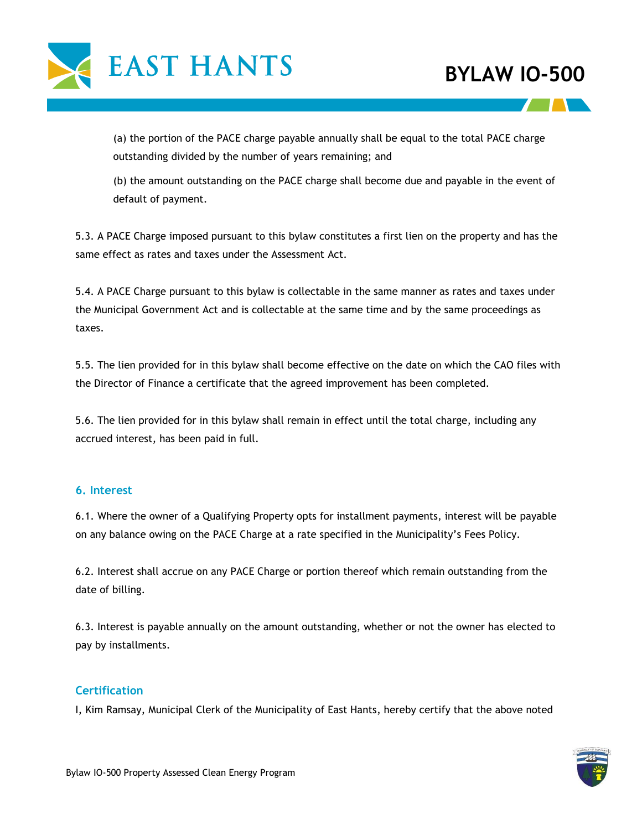

(a) the portion of the PACE charge payable annually shall be equal to the total PACE charge outstanding divided by the number of years remaining; and

(b) the amount outstanding on the PACE charge shall become due and payable in the event of default of payment.

5.3. A PACE Charge imposed pursuant to this bylaw constitutes a first lien on the property and has the same effect as rates and taxes under the Assessment Act.

5.4. A PACE Charge pursuant to this bylaw is collectable in the same manner as rates and taxes under the Municipal Government Act and is collectable at the same time and by the same proceedings as taxes.

5.5. The lien provided for in this bylaw shall become effective on the date on which the CAO files with the Director of Finance a certificate that the agreed improvement has been completed.

5.6. The lien provided for in this bylaw shall remain in effect until the total charge, including any accrued interest, has been paid in full.

### **6. Interest**

6.1. Where the owner of a Qualifying Property opts for installment payments, interest will be payable on any balance owing on the PACE Charge at a rate specified in the Municipality's Fees Policy.

6.2. Interest shall accrue on any PACE Charge or portion thereof which remain outstanding from the date of billing.

6.3. Interest is payable annually on the amount outstanding, whether or not the owner has elected to pay by installments.

#### **Certification**

I, Kim Ramsay, Municipal Clerk of the Municipality of East Hants, hereby certify that the above noted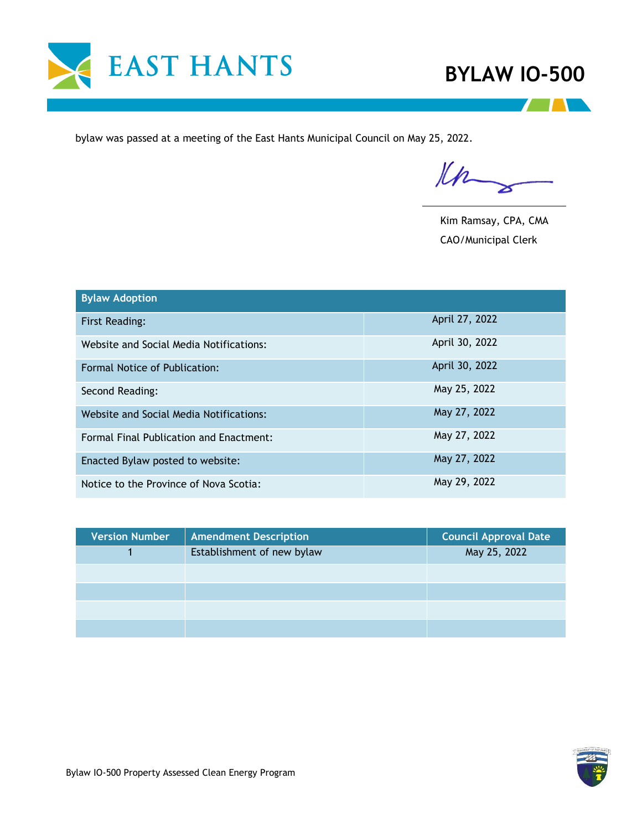



bylaw was passed at a meeting of the East Hants Municipal Council on May 25, 2022.

Kn

Kim Ramsay, CPA, CMA CAO/Municipal Clerk

| <b>Bylaw Adoption</b>                          |                |  |
|------------------------------------------------|----------------|--|
| <b>First Reading:</b>                          | April 27, 2022 |  |
| Website and Social Media Notifications:        | April 30, 2022 |  |
| Formal Notice of Publication:                  | April 30, 2022 |  |
| Second Reading:                                | May 25, 2022   |  |
| Website and Social Media Notifications:        | May 27, 2022   |  |
| <b>Formal Final Publication and Enactment:</b> | May 27, 2022   |  |
| Enacted Bylaw posted to website:               | May 27, 2022   |  |
| Notice to the Province of Nova Scotia:         | May 29, 2022   |  |

| <b>Version Number</b> | <b>Amendment Description</b> | <b>Council Approval Date</b> |
|-----------------------|------------------------------|------------------------------|
|                       | Establishment of new bylaw   | May 25, 2022                 |
|                       |                              |                              |
|                       |                              |                              |
|                       |                              |                              |
|                       |                              |                              |